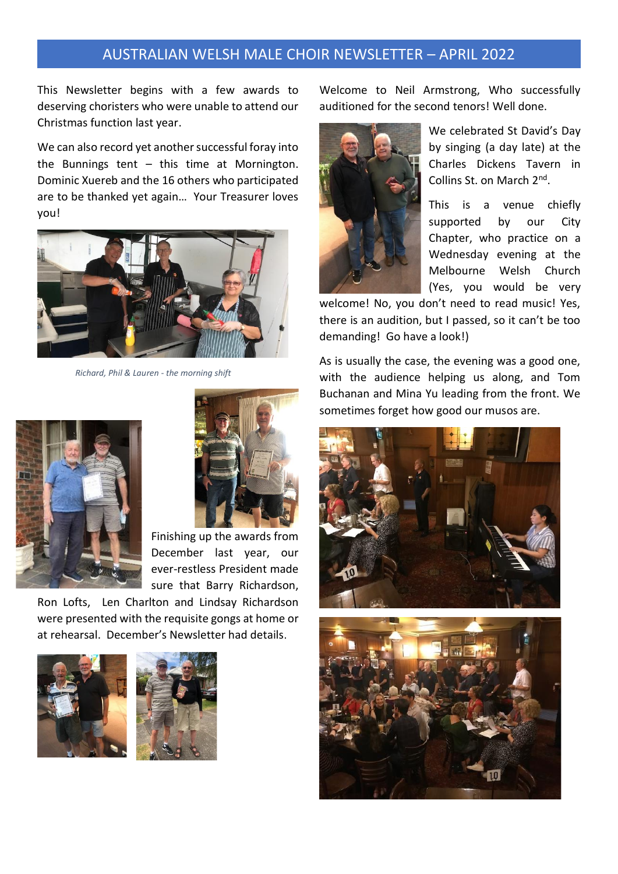This Newsletter begins with a few awards to deserving choristers who were unable to attend our Christmas function last year.

We can also record yet another successful foray into the Bunnings tent  $-$  this time at Mornington. Dominic Xuereb and the 16 others who participated are to be thanked yet again… Your Treasurer loves you!



 *Richard, Phil & Lauren - the morning shift*





Finishing up the awards from December last year, our ever-restless President made sure that Barry Richardson,

Ron Lofts, Len Charlton and Lindsay Richardson were presented with the requisite gongs at home or at rehearsal. December's Newsletter had details.





Welcome to Neil Armstrong, Who successfully auditioned for the second tenors! Well done.



We celebrated St David's Day by singing (a day late) at the Charles Dickens Tavern in Collins St. on March 2<sup>nd</sup>.

This is a venue chiefly supported by our City Chapter, who practice on a Wednesday evening at the Melbourne Welsh Church (Yes, you would be very

welcome! No, you don't need to read music! Yes, there is an audition, but I passed, so it can't be too demanding! Go have a look!)

As is usually the case, the evening was a good one, with the audience helping us along, and Tom Buchanan and Mina Yu leading from the front. We sometimes forget how good our musos are.



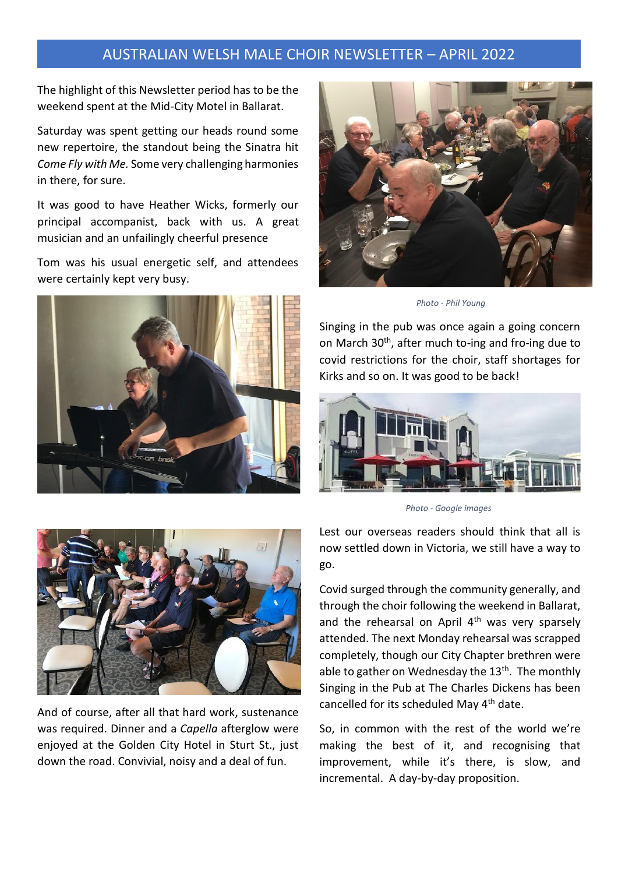The highlight of this Newsletter period has to be the weekend spent at the Mid-City Motel in Ballarat.

Saturday was spent getting our heads round some new repertoire, the standout being the Sinatra hit *Come Fly with Me.* Some very challenging harmonies in there, for sure.

It was good to have Heather Wicks, formerly our principal accompanist, back with us. A great musician and an unfailingly cheerful presence

Tom was his usual energetic self, and attendees were certainly kept very busy.





 *Photo - Phil Young* 

Singing in the pub was once again a going concern on March 30<sup>th</sup>, after much to-ing and fro-ing due to covid restrictions for the choir, staff shortages for Kirks and so on. It was good to be back!



 *Photo - Google images* 



And of course, after all that hard work, sustenance was required. Dinner and a *Capella* afterglow were enjoyed at the Golden City Hotel in Sturt St., just down the road. Convivial, noisy and a deal of fun.

Lest our overseas readers should think that all is now settled down in Victoria, we still have a way to go.

Covid surged through the community generally, and through the choir following the weekend in Ballarat, and the rehearsal on April  $4<sup>th</sup>$  was very sparsely attended. The next Monday rehearsal was scrapped completely, though our City Chapter brethren were able to gather on Wednesday the 13<sup>th</sup>. The monthly Singing in the Pub at The Charles Dickens has been cancelled for its scheduled May 4<sup>th</sup> date.

So, in common with the rest of the world we're making the best of it, and recognising that improvement, while it's there, is slow, and incremental. A day-by-day proposition.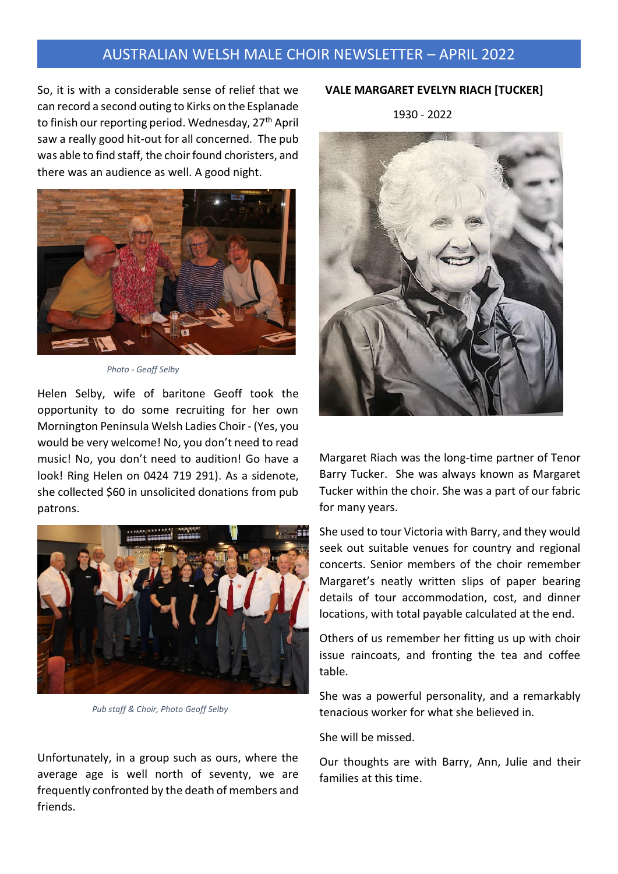So, it is with a considerable sense of relief that we can record a second outing to Kirks on the Esplanade to finish our reporting period. Wednesday, 27<sup>th</sup> April saw a really good hit-out for all concerned. The pub was able to find staff, the choir found choristers, and there was an audience as well. A good night.



 *Photo - Geoff Selby* 

Helen Selby, wife of baritone Geoff took the opportunity to do some recruiting for her own Mornington Peninsula Welsh Ladies Choir - (Yes, you would be very welcome! No, you don't need to read music! No, you don't need to audition! Go have a look! Ring Helen on 0424 719 291). As a sidenote, she collected \$60 in unsolicited donations from pub patrons.



 *Pub staff & Choir, Photo Geoff Selby* 

Unfortunately, in a group such as ours, where the average age is well north of seventy, we are frequently confronted by the death of members and friends.

#### **VALE MARGARET EVELYN RIACH [TUCKER]**

1930 - 2022



Margaret Riach was the long-time partner of Tenor Barry Tucker. She was always known as Margaret Tucker within the choir. She was a part of our fabric for many years.

She used to tour Victoria with Barry, and they would seek out suitable venues for country and regional concerts. Senior members of the choir remember Margaret's neatly written slips of paper bearing details of tour accommodation, cost, and dinner locations, with total payable calculated at the end.

Others of us remember her fitting us up with choir issue raincoats, and fronting the tea and coffee table.

She was a powerful personality, and a remarkably tenacious worker for what she believed in.

She will be missed.

Our thoughts are with Barry, Ann, Julie and their families at this time.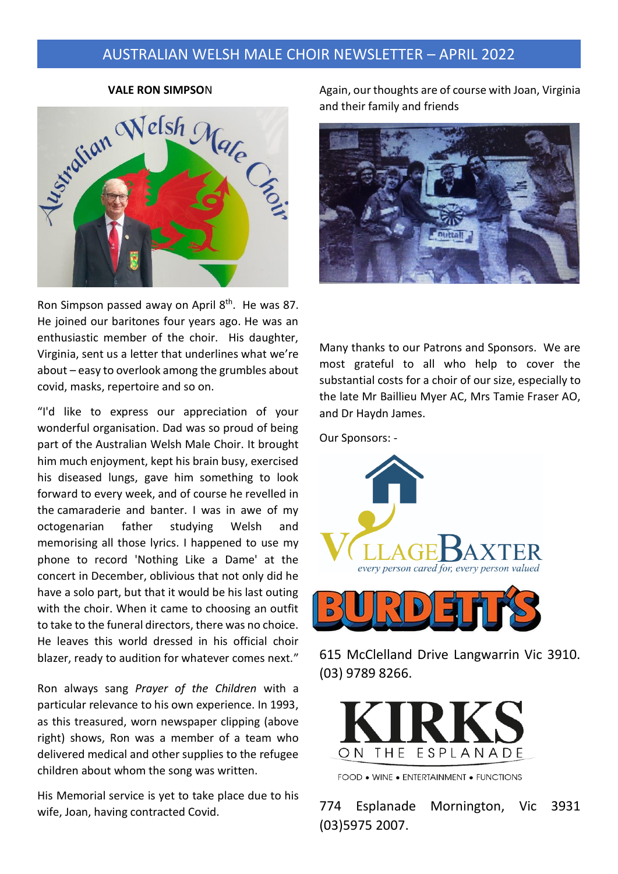**VALE RON SIMPSO**N



Ron Simpson passed away on April 8<sup>th</sup>. He was 87. He joined our baritones four years ago. He was an enthusiastic member of the choir. His daughter, Virginia, sent us a letter that underlines what we're about – easy to overlook among the grumbles about covid, masks, repertoire and so on.

"I'd like to express our appreciation of your wonderful organisation. Dad was so proud of being part of the Australian Welsh Male Choir. It brought him much enjoyment, kept his brain busy, exercised his diseased lungs, gave him something to look forward to every week, and of course he revelled in the camaraderie and banter. I was in awe of my octogenarian father studying Welsh and memorising all those lyrics. I happened to use my phone to record 'Nothing Like a Dame' at the concert in December, oblivious that not only did he have a solo part, but that it would be his last outing with the choir. When it came to choosing an outfit to take to the funeral directors, there was no choice. He leaves this world dressed in his official choir blazer, ready to audition for whatever comes next."

Ron always sang *Prayer of the Children* with a particular relevance to his own experience. In 1993, as this treasured, worn newspaper clipping (above right) shows, Ron was a member of a team who delivered medical and other supplies to the refugee children about whom the song was written.

His Memorial service is yet to take place due to his wife, Joan, having contracted Covid.

Again, our thoughts are of course with Joan, Virginia and their family and friends



Many thanks to our Patrons and Sponsors. We are most grateful to all who help to cover the substantial costs for a choir of our size, especially to the late Mr Baillieu Myer AC, Mrs Tamie Fraser AO, and Dr Haydn James.

Our Sponsors: -



615 McClelland Drive Langwarrin Vic 3910. (03) 9789 8266.



FOOD . WINE . ENTERTAINMENT . FUNCTIONS

774 Esplanade Mornington, Vic 3931 (03)5975 2007.